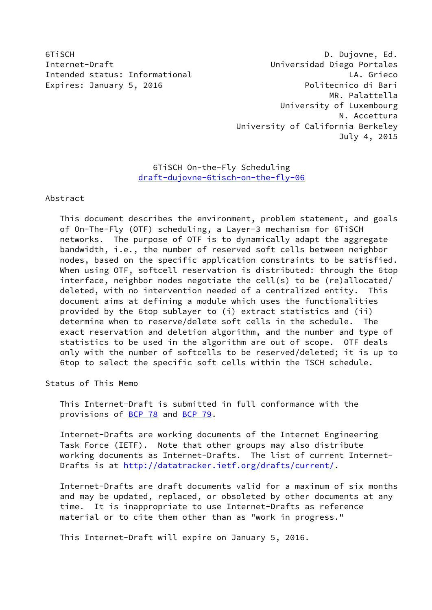6TiSCH D. Dujovne, Ed. Internet-Draft Universidad Diego Portales Intended status: Informational LA. Grieco Expires: January 5, 2016 **Politecnico di Bari**  MR. Palattella University of Luxembourg N. Accettura University of California Berkeley July 4, 2015

# 6TiSCH On-the-Fly Scheduling [draft-dujovne-6tisch-on-the-fly-06](https://datatracker.ietf.org/doc/pdf/draft-dujovne-6tisch-on-the-fly-06)

## Abstract

 This document describes the environment, problem statement, and goals of On-The-Fly (OTF) scheduling, a Layer-3 mechanism for 6TiSCH networks. The purpose of OTF is to dynamically adapt the aggregate bandwidth, i.e., the number of reserved soft cells between neighbor nodes, based on the specific application constraints to be satisfied. When using OTF, softcell reservation is distributed: through the 6top interface, neighbor nodes negotiate the cell(s) to be (re)allocated/ deleted, with no intervention needed of a centralized entity. This document aims at defining a module which uses the functionalities provided by the 6top sublayer to (i) extract statistics and (ii) determine when to reserve/delete soft cells in the schedule. The exact reservation and deletion algorithm, and the number and type of statistics to be used in the algorithm are out of scope. OTF deals only with the number of softcells to be reserved/deleted; it is up to 6top to select the specific soft cells within the TSCH schedule.

Status of This Memo

 This Internet-Draft is submitted in full conformance with the provisions of [BCP 78](https://datatracker.ietf.org/doc/pdf/bcp78) and [BCP 79](https://datatracker.ietf.org/doc/pdf/bcp79).

 Internet-Drafts are working documents of the Internet Engineering Task Force (IETF). Note that other groups may also distribute working documents as Internet-Drafts. The list of current Internet Drafts is at<http://datatracker.ietf.org/drafts/current/>.

 Internet-Drafts are draft documents valid for a maximum of six months and may be updated, replaced, or obsoleted by other documents at any time. It is inappropriate to use Internet-Drafts as reference material or to cite them other than as "work in progress."

This Internet-Draft will expire on January 5, 2016.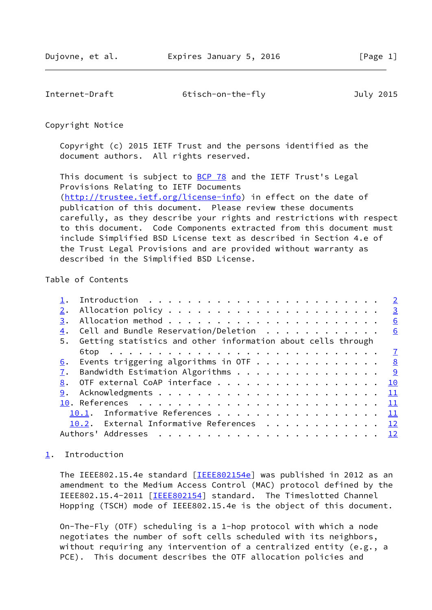<span id="page-1-1"></span>Internet-Draft 6tisch-on-the-fly July 2015

Copyright Notice

 Copyright (c) 2015 IETF Trust and the persons identified as the document authors. All rights reserved.

This document is subject to **[BCP 78](https://datatracker.ietf.org/doc/pdf/bcp78)** and the IETF Trust's Legal Provisions Relating to IETF Documents [\(http://trustee.ietf.org/license-info](http://trustee.ietf.org/license-info)) in effect on the date of publication of this document. Please review these documents carefully, as they describe your rights and restrictions with respect to this document. Code Components extracted from this document must include Simplified BSD License text as described in Section 4.e of the Trust Legal Provisions and are provided without warranty as described in the Simplified BSD License.

# Table of Contents

|    | $\overline{2}$                                               |
|----|--------------------------------------------------------------|
|    | $\frac{3}{2}$                                                |
| 3. | 6                                                            |
| 4. | Cell and Bundle Reservation/Deletion 6                       |
| 5. | Getting statistics and other information about cells through |
|    |                                                              |
| 6. | Events triggering algorithms in OTF 8                        |
|    | 7. Bandwidth Estimation Algorithms<br><u>୍ର</u>              |
|    | 8. OTF external CoAP interface 10                            |
| 9. | 11                                                           |
|    |                                                              |
|    | 10.1. Informative References 11                              |
|    | 10.2. External Informative References 12                     |
|    | Authors' Addresses<br>12                                     |
|    |                                                              |

## <span id="page-1-0"></span>[1](#page-1-0). Introduction

The IEEE802.15.4e standard [[IEEE802154e\]](#page-12-2) was published in 2012 as an amendment to the Medium Access Control (MAC) protocol defined by the IEEE802.15.4-2011 [[IEEE802154\]](#page-12-3) standard. The Timeslotted Channel Hopping (TSCH) mode of IEEE802.15.4e is the object of this document.

 On-The-Fly (OTF) scheduling is a 1-hop protocol with which a node negotiates the number of soft cells scheduled with its neighbors, without requiring any intervention of a centralized entity (e.g., a PCE). This document describes the OTF allocation policies and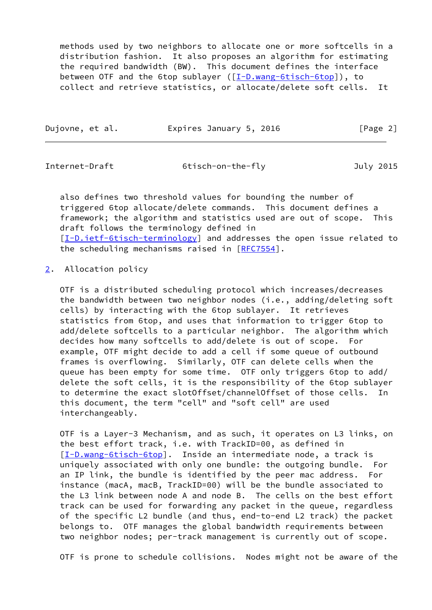methods used by two neighbors to allocate one or more softcells in a distribution fashion. It also proposes an algorithm for estimating the required bandwidth (BW). This document defines the interface between OTF and the 6top sublayer ([[I-D.wang-6tisch-6top\]](#page-12-4)), to collect and retrieve statistics, or allocate/delete soft cells. It

| Dujovne, et al. | Expires January 5, 2016 | [Page 2] |
|-----------------|-------------------------|----------|
|                 |                         |          |

<span id="page-2-1"></span>

Internet-Draft 6tisch-on-the-fly July 2015

 also defines two threshold values for bounding the number of triggered 6top allocate/delete commands. This document defines a framework; the algorithm and statistics used are out of scope. This draft follows the terminology defined in [\[I-D.ietf-6tisch-terminology](#page-11-4)] and addresses the open issue related to the scheduling mechanisms raised in [\[RFC7554](https://datatracker.ietf.org/doc/pdf/rfc7554)].

# <span id="page-2-0"></span>[2](#page-2-0). Allocation policy

 OTF is a distributed scheduling protocol which increases/decreases the bandwidth between two neighbor nodes (i.e., adding/deleting soft cells) by interacting with the 6top sublayer. It retrieves statistics from 6top, and uses that information to trigger 6top to add/delete softcells to a particular neighbor. The algorithm which decides how many softcells to add/delete is out of scope. For example, OTF might decide to add a cell if some queue of outbound frames is overflowing. Similarly, OTF can delete cells when the queue has been empty for some time. OTF only triggers 6top to add/ delete the soft cells, it is the responsibility of the 6top sublayer to determine the exact slotOffset/channelOffset of those cells. In this document, the term "cell" and "soft cell" are used interchangeably.

 OTF is a Layer-3 Mechanism, and as such, it operates on L3 links, on the best effort track, i.e. with TrackID=00, as defined in [\[I-D.wang-6tisch-6top](#page-12-4)]. Inside an intermediate node, a track is uniquely associated with only one bundle: the outgoing bundle. For an IP link, the bundle is identified by the peer mac address. For instance (macA, macB, TrackID=00) will be the bundle associated to the L3 link between node A and node B. The cells on the best effort track can be used for forwarding any packet in the queue, regardless of the specific L2 bundle (and thus, end-to-end L2 track) the packet belongs to. OTF manages the global bandwidth requirements between two neighbor nodes; per-track management is currently out of scope.

OTF is prone to schedule collisions. Nodes might not be aware of the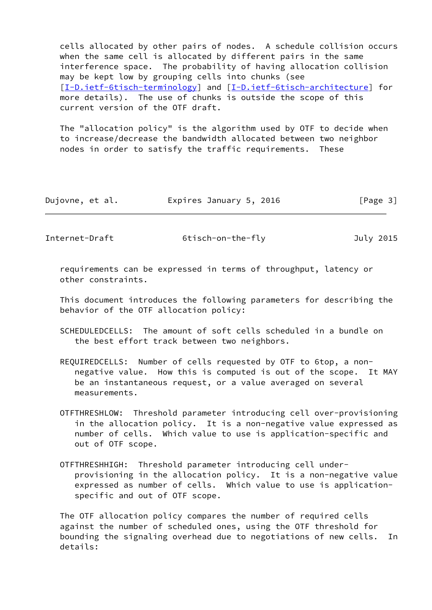cells allocated by other pairs of nodes. A schedule collision occurs when the same cell is allocated by different pairs in the same interference space. The probability of having allocation collision may be kept low by grouping cells into chunks (see [\[I-D.ietf-6tisch-terminology](#page-11-4)] and [[I-D.ietf-6tisch-architecture\]](#page-12-5) for more details). The use of chunks is outside the scope of this current version of the OTF draft.

 The "allocation policy" is the algorithm used by OTF to decide when to increase/decrease the bandwidth allocated between two neighbor nodes in order to satisfy the traffic requirements. These

| Dujovne, et al. | Expires January 5, 2016 | [Page 3] |
|-----------------|-------------------------|----------|
|-----------------|-------------------------|----------|

Internet-Draft 6tisch-on-the-fly July 2015

 requirements can be expressed in terms of throughput, latency or other constraints.

 This document introduces the following parameters for describing the behavior of the OTF allocation policy:

- SCHEDULEDCELLS: The amount of soft cells scheduled in a bundle on the best effort track between two neighbors.
- REQUIREDCELLS: Number of cells requested by OTF to 6top, a non negative value. How this is computed is out of the scope. It MAY be an instantaneous request, or a value averaged on several measurements.
- OTFTHRESHLOW: Threshold parameter introducing cell over-provisioning in the allocation policy. It is a non-negative value expressed as number of cells. Which value to use is application-specific and out of OTF scope.
- OTFTHRESHHIGH: Threshold parameter introducing cell under provisioning in the allocation policy. It is a non-negative value expressed as number of cells. Which value to use is application specific and out of OTF scope.

 The OTF allocation policy compares the number of required cells against the number of scheduled ones, using the OTF threshold for bounding the signaling overhead due to negotiations of new cells. In details: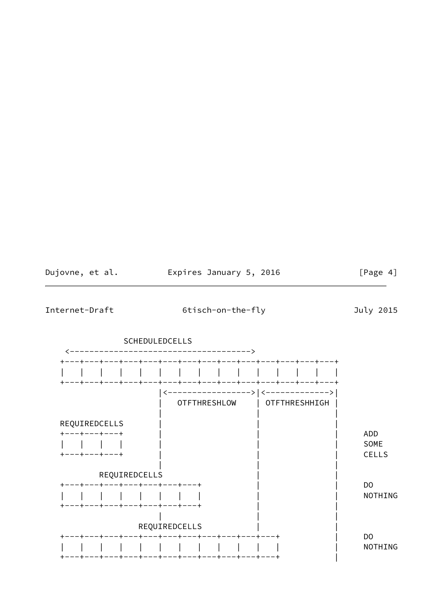| Dujovne, et al. | Expires January 5, 2016 | [Page 4] |
|-----------------|-------------------------|----------|
|-----------------|-------------------------|----------|

Internet-Draft

6tisch-on-the-fly

July 2015

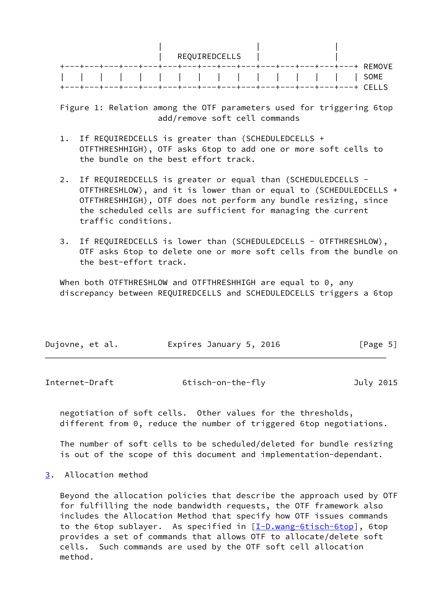|      |  |  | REQUIREDCELLS |  |  |  |  |
|------|--|--|---------------|--|--|--|--|
|      |  |  |               |  |  |  |  |
| SOME |  |  |               |  |  |  |  |
|      |  |  |               |  |  |  |  |

 Figure 1: Relation among the OTF parameters used for triggering 6top add/remove soft cell commands

- 1. If REQUIREDCELLS is greater than (SCHEDULEDCELLS + OTFTHRESHHIGH), OTF asks 6top to add one or more soft cells to the bundle on the best effort track.
- 2. If REQUIREDCELLS is greater or equal than (SCHEDULEDCELLS - OTFTHRESHLOW), and it is lower than or equal to (SCHEDULEDCELLS + OTFTHRESHHIGH), OTF does not perform any bundle resizing, since the scheduled cells are sufficient for managing the current traffic conditions.
- 3. If REQUIREDCELLS is lower than (SCHEDULEDCELLS OTFTHRESHLOW), OTF asks 6top to delete one or more soft cells from the bundle on the best-effort track.

When both OTFTHRESHLOW and OTFTHRESHHIGH are equal to 0, any discrepancy between REQUIREDCELLS and SCHEDULEDCELLS triggers a 6top

| Dujovne, et al. | Expires January 5, 2016 | [Page 5] |
|-----------------|-------------------------|----------|
|                 |                         |          |

<span id="page-5-1"></span>

| Internet-Draft | 6tisch-on-the-fly | July 2015 |
|----------------|-------------------|-----------|
|                |                   |           |

 negotiation of soft cells. Other values for the thresholds, different from 0, reduce the number of triggered 6top negotiations.

 The number of soft cells to be scheduled/deleted for bundle resizing is out of the scope of this document and implementation-dependant.

<span id="page-5-0"></span>[3](#page-5-0). Allocation method

 Beyond the allocation policies that describe the approach used by OTF for fulfilling the node bandwidth requests, the OTF framework also includes the Allocation Method that specify how OTF issues commands to the 6top sublayer. As specified in  $[I-D.wang-6tisch-6top]$  $[I-D.wang-6tisch-6top]$ , 6top provides a set of commands that allows OTF to allocate/delete soft cells. Such commands are used by the OTF soft cell allocation method.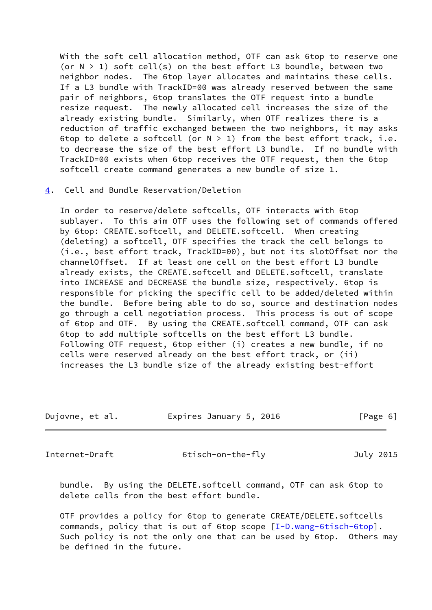With the soft cell allocation method, OTF can ask 6top to reserve one (or  $N > 1$ ) soft cell(s) on the best effort L3 boundle, between two neighbor nodes. The 6top layer allocates and maintains these cells. If a L3 bundle with TrackID=00 was already reserved between the same pair of neighbors, 6top translates the OTF request into a bundle resize request. The newly allocated cell increases the size of the already existing bundle. Similarly, when OTF realizes there is a reduction of traffic exchanged between the two neighbors, it may asks 6top to delete a softcell (or  $N > 1$ ) from the best effort track, i.e. to decrease the size of the best effort L3 bundle. If no bundle with TrackID=00 exists when 6top receives the OTF request, then the 6top softcell create command generates a new bundle of size 1.

#### <span id="page-6-0"></span>[4](#page-6-0). Cell and Bundle Reservation/Deletion

 In order to reserve/delete softcells, OTF interacts with 6top sublayer. To this aim OTF uses the following set of commands offered by 6top: CREATE.softcell, and DELETE.softcell. When creating (deleting) a softcell, OTF specifies the track the cell belongs to (i.e., best effort track, TrackID=00), but not its slotOffset nor the channelOffset. If at least one cell on the best effort L3 bundle already exists, the CREATE.softcell and DELETE.softcell, translate into INCREASE and DECREASE the bundle size, respectively. 6top is responsible for picking the specific cell to be added/deleted within the bundle. Before being able to do so, source and destination nodes go through a cell negotiation process. This process is out of scope of 6top and OTF. By using the CREATE.softcell command, OTF can ask 6top to add multiple softcells on the best effort L3 bundle. Following OTF request, 6top either (i) creates a new bundle, if no cells were reserved already on the best effort track, or (ii) increases the L3 bundle size of the already existing best-effort

|  | Dujovne, et al. | Expires January 5, 2016 | [Page 6] |
|--|-----------------|-------------------------|----------|
|--|-----------------|-------------------------|----------|

<span id="page-6-1"></span>Internet-Draft 6tisch-on-the-fly July 2015

 bundle. By using the DELETE.softcell command, OTF can ask 6top to delete cells from the best effort bundle.

 OTF provides a policy for 6top to generate CREATE/DELETE.softcells commands, policy that is out of 6top scope  $[I-D.wang-6tisch-6top]$  $[I-D.wang-6tisch-6top]$ . Such policy is not the only one that can be used by 6top. Others may be defined in the future.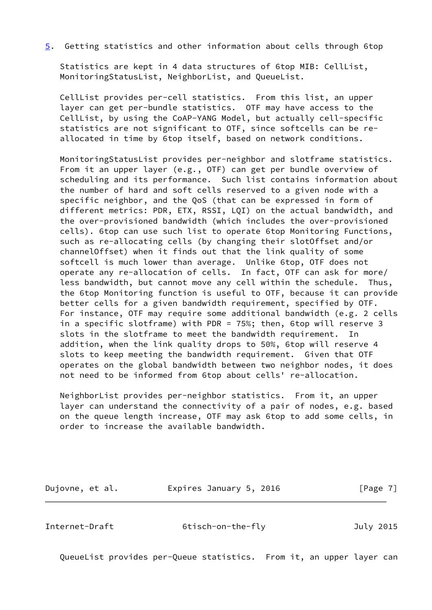<span id="page-7-1"></span>[5](#page-7-1). Getting statistics and other information about cells through 6top

 Statistics are kept in 4 data structures of 6top MIB: CellList, MonitoringStatusList, NeighborList, and QueueList.

 CellList provides per-cell statistics. From this list, an upper layer can get per-bundle statistics. OTF may have access to the CellList, by using the CoAP-YANG Model, but actually cell-specific statistics are not significant to OTF, since softcells can be re allocated in time by 6top itself, based on network conditions.

 MonitoringStatusList provides per-neighbor and slotframe statistics. From it an upper layer (e.g., OTF) can get per bundle overview of scheduling and its performance. Such list contains information about the number of hard and soft cells reserved to a given node with a specific neighbor, and the QoS (that can be expressed in form of different metrics: PDR, ETX, RSSI, LQI) on the actual bandwidth, and the over-provisioned bandwidth (which includes the over-provisioned cells). 6top can use such list to operate 6top Monitoring Functions, such as re-allocating cells (by changing their slotOffset and/or channelOffset) when it finds out that the link quality of some softcell is much lower than average. Unlike 6top, OTF does not operate any re-allocation of cells. In fact, OTF can ask for more/ less bandwidth, but cannot move any cell within the schedule. Thus, the 6top Monitoring function is useful to OTF, because it can provide better cells for a given bandwidth requirement, specified by OTF. For instance, OTF may require some additional bandwidth (e.g. 2 cells in a specific slotframe) with PDR = 75%; then, 6top will reserve 3 slots in the slotframe to meet the bandwidth requirement. In addition, when the link quality drops to 50%, 6top will reserve 4 slots to keep meeting the bandwidth requirement. Given that OTF operates on the global bandwidth between two neighbor nodes, it does not need to be informed from 6top about cells' re-allocation.

 NeighborList provides per-neighbor statistics. From it, an upper layer can understand the connectivity of a pair of nodes, e.g. based on the queue length increase, OTF may ask 6top to add some cells, in order to increase the available bandwidth.

Dujovne, et al. **Expires January 5, 2016** [Page 7]

<span id="page-7-0"></span>Internet-Draft 6tisch-on-the-fly July 2015

QueueList provides per-Queue statistics. From it, an upper layer can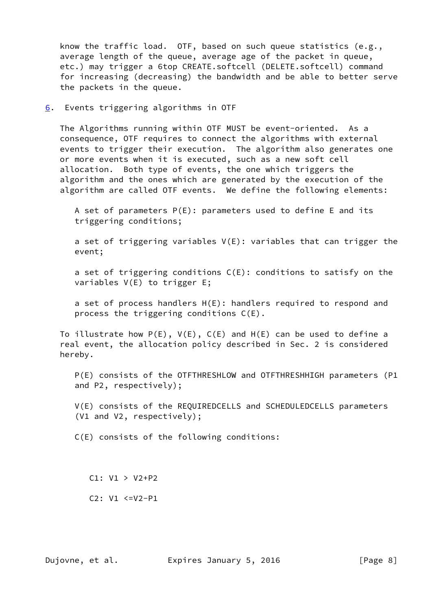know the traffic load. OTF, based on such queue statistics (e.g., average length of the queue, average age of the packet in queue, etc.) may trigger a 6top CREATE.softcell (DELETE.softcell) command for increasing (decreasing) the bandwidth and be able to better serve the packets in the queue.

<span id="page-8-0"></span>[6](#page-8-0). Events triggering algorithms in OTF

 The Algorithms running within OTF MUST be event-oriented. As a consequence, OTF requires to connect the algorithms with external events to trigger their execution. The algorithm also generates one or more events when it is executed, such as a new soft cell allocation. Both type of events, the one which triggers the algorithm and the ones which are generated by the execution of the algorithm are called OTF events. We define the following elements:

 A set of parameters P(E): parameters used to define E and its triggering conditions;

 a set of triggering variables V(E): variables that can trigger the event;

a set of triggering conditions  $C(E)$ : conditions to satisfy on the variables V(E) to trigger E;

 a set of process handlers H(E): handlers required to respond and process the triggering conditions C(E).

To illustrate how  $P(E)$ ,  $V(E)$ ,  $C(E)$  and  $H(E)$  can be used to define a real event, the allocation policy described in Sec. 2 is considered hereby.

 P(E) consists of the OTFTHRESHLOW and OTFTHRESHHIGH parameters (P1 and P2, respectively);

 V(E) consists of the REQUIREDCELLS and SCHEDULEDCELLS parameters (V1 and V2, respectively);

C(E) consists of the following conditions:

C1: V1 > V2+P2

C2: V1 <=V2-P1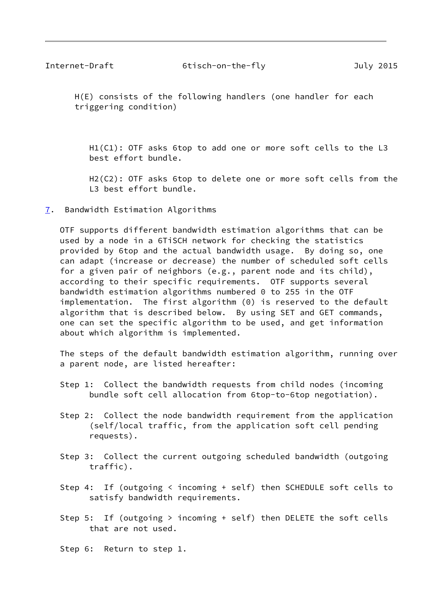<span id="page-9-1"></span> H(E) consists of the following handlers (one handler for each triggering condition)

 H1(C1): OTF asks 6top to add one or more soft cells to the L3 best effort bundle.

 H2(C2): OTF asks 6top to delete one or more soft cells from the L3 best effort bundle.

<span id="page-9-0"></span>[7](#page-9-0). Bandwidth Estimation Algorithms

 OTF supports different bandwidth estimation algorithms that can be used by a node in a 6TiSCH network for checking the statistics provided by 6top and the actual bandwidth usage. By doing so, one can adapt (increase or decrease) the number of scheduled soft cells for a given pair of neighbors (e.g., parent node and its child), according to their specific requirements. OTF supports several bandwidth estimation algorithms numbered 0 to 255 in the OTF implementation. The first algorithm (0) is reserved to the default algorithm that is described below. By using SET and GET commands, one can set the specific algorithm to be used, and get information about which algorithm is implemented.

 The steps of the default bandwidth estimation algorithm, running over a parent node, are listed hereafter:

- Step 1: Collect the bandwidth requests from child nodes (incoming bundle soft cell allocation from 6top-to-6top negotiation).
- Step 2: Collect the node bandwidth requirement from the application (self/local traffic, from the application soft cell pending requests).
- Step 3: Collect the current outgoing scheduled bandwidth (outgoing traffic).
- Step 4: If (outgoing < incoming + self) then SCHEDULE soft cells to satisfy bandwidth requirements.
- Step 5: If (outgoing > incoming + self) then DELETE the soft cells that are not used.

Step 6: Return to step 1.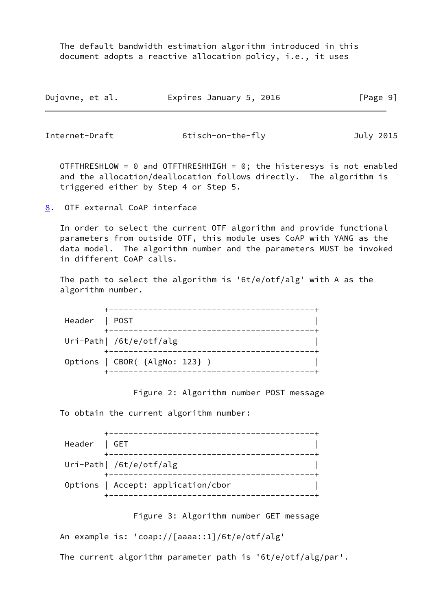The default bandwidth estimation algorithm introduced in this document adopts a reactive allocation policy, i.e., it uses

| Dujovne, et al. | Expires January 5, 2016 | [Page 9] |
|-----------------|-------------------------|----------|
|-----------------|-------------------------|----------|

<span id="page-10-1"></span>Internet-Draft 6tisch-on-the-fly July 2015

OTFTHRESHLOW =  $\theta$  and OTFTHRESHHIGH =  $\theta$ ; the histeresys is not enabled and the allocation/deallocation follows directly. The algorithm is triggered either by Step 4 or Step 5.

<span id="page-10-0"></span>[8](#page-10-0). OTF external CoAP interface

 In order to select the current OTF algorithm and provide functional parameters from outside OTF, this module uses CoAP with YANG as the data model. The algorithm number and the parameters MUST be invoked in different CoAP calls.

 The path to select the algorithm is '6t/e/otf/alg' with A as the algorithm number.

|               | --------------                 |
|---------------|--------------------------------|
| Header   POST |                                |
|               |                                |
|               | Uri-Path  /6t/e/otf/alg        |
|               | Options   CBOR( {AlgNo: 123} ) |

Figure 2: Algorithm number POST message

To obtain the current algorithm number:

| Header   GET |                                    |
|--------------|------------------------------------|
|              | Uri-Path  /6t/e/otf/alg            |
|              | Options   Accept: application/cbor |

#### Figure 3: Algorithm number GET message

An example is: 'coap://[aaaa::1]/6t/e/otf/alg'

The current algorithm parameter path is '6t/e/otf/alg/par'.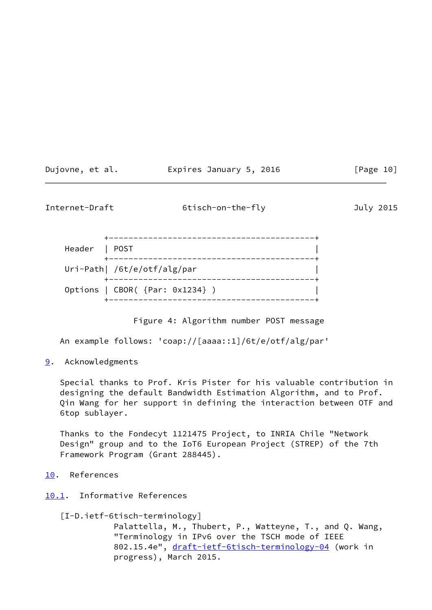| Dujovne, et al. | Expires January 5, 2016 | [Page 10] |
|-----------------|-------------------------|-----------|
|-----------------|-------------------------|-----------|

<span id="page-11-1"></span>Internet-Draft 6tisch-on-the-fly

| July | 2015 |
|------|------|
|      |      |

| Header   POST |                                      |
|---------------|--------------------------------------|
|               | Uri-Path  /6t/e/otf/alg/par          |
|               | Options   $CBOR($ {Par: $0x1234$ } ) |

Figure 4: Algorithm number POST message

An example follows: 'coap://[aaaa::1]/6t/e/otf/alg/par'

<span id="page-11-0"></span>[9](#page-11-0). Acknowledgments

 Special thanks to Prof. Kris Pister for his valuable contribution in designing the default Bandwidth Estimation Algorithm, and to Prof. Qin Wang for her support in defining the interaction between OTF and 6top sublayer.

 Thanks to the Fondecyt 1121475 Project, to INRIA Chile "Network Design" group and to the IoT6 European Project (STREP) of the 7th Framework Program (Grant 288445).

- <span id="page-11-2"></span>[10.](#page-11-2) References
- <span id="page-11-3"></span>[10.1](#page-11-3). Informative References

<span id="page-11-4"></span>[I-D.ietf-6tisch-terminology]

 Palattella, M., Thubert, P., Watteyne, T., and Q. Wang, "Terminology in IPv6 over the TSCH mode of IEEE 802.15.4e", draft-ietf-6tisch-terminology-04</u> (work in progress), March 2015.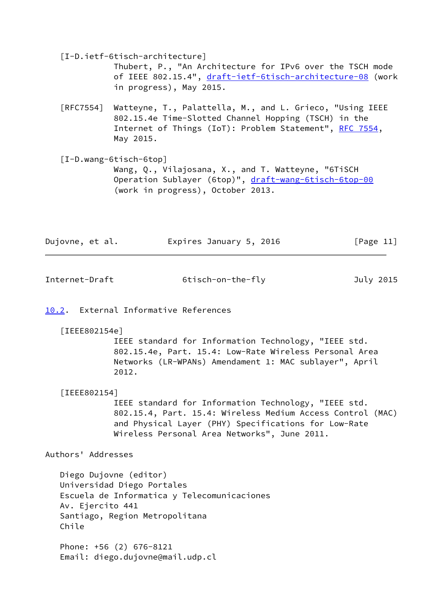<span id="page-12-5"></span>[I-D.ietf-6tisch-architecture]

 Thubert, P., "An Architecture for IPv6 over the TSCH mode of IEEE 802.15.4", [draft-ietf-6tisch-architecture-08](https://datatracker.ietf.org/doc/pdf/draft-ietf-6tisch-architecture-08) (work in progress), May 2015.

- [RFC7554] Watteyne, T., Palattella, M., and L. Grieco, "Using IEEE 802.15.4e Time-Slotted Channel Hopping (TSCH) in the Internet of Things (IoT): Problem Statement", [RFC 7554](https://datatracker.ietf.org/doc/pdf/rfc7554), May 2015.
- <span id="page-12-4"></span> [I-D.wang-6tisch-6top] Wang, Q., Vilajosana, X., and T. Watteyne, "6TiSCH Operation Sublayer (6top)", [draft-wang-6tisch-6top-00](https://datatracker.ietf.org/doc/pdf/draft-wang-6tisch-6top-00) (work in progress), October 2013.

| Dujovne, et al. | Expires January 5, 2016 | [Page 11] |
|-----------------|-------------------------|-----------|
|                 |                         |           |

<span id="page-12-1"></span>Internet-Draft 6tisch-on-the-fly July 2015

<span id="page-12-0"></span>[10.2](#page-12-0). External Informative References

<span id="page-12-2"></span>[IEEE802154e]

 IEEE standard for Information Technology, "IEEE std. 802.15.4e, Part. 15.4: Low-Rate Wireless Personal Area Networks (LR-WPANs) Amendament 1: MAC sublayer", April 2012.

<span id="page-12-3"></span>[IEEE802154]

 IEEE standard for Information Technology, "IEEE std. 802.15.4, Part. 15.4: Wireless Medium Access Control (MAC) and Physical Layer (PHY) Specifications for Low-Rate Wireless Personal Area Networks", June 2011.

Authors' Addresses

 Diego Dujovne (editor) Universidad Diego Portales Escuela de Informatica y Telecomunicaciones Av. Ejercito 441 Santiago, Region Metropolitana Chile

 Phone: +56 (2) 676-8121 Email: diego.dujovne@mail.udp.cl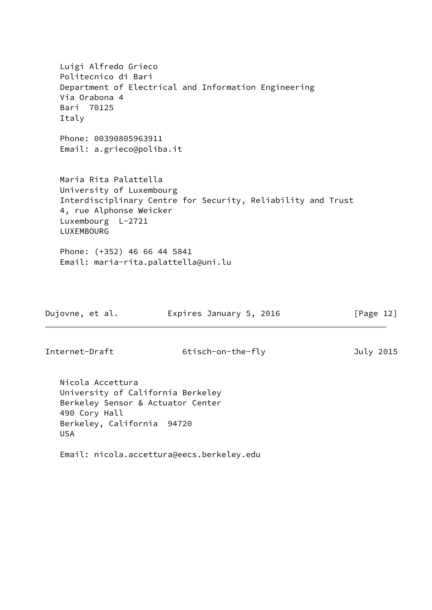Luigi Alfredo Grieco Politecnico di Bari Department of Electrical and Information Engineering Via Orabona 4 Bari 70125 Italy Phone: 00390805963911 Email: a.grieco@poliba.it Maria Rita Palattella University of Luxembourg Interdisciplinary Centre for Security, Reliability and Trust 4, rue Alphonse Weicker Luxembourg L-2721 LUXEMBOURG Phone: (+352) 46 66 44 5841 Email: maria-rita.palattella@uni.lu Dujovne, et al. **Expires January 5, 2016** [Page 12]

Internet-Draft 6tisch-on-the-fly July 2015

 Nicola Accettura University of California Berkeley Berkeley Sensor & Actuator Center 490 Cory Hall Berkeley, California 94720 USA

Email: nicola.accettura@eecs.berkeley.edu